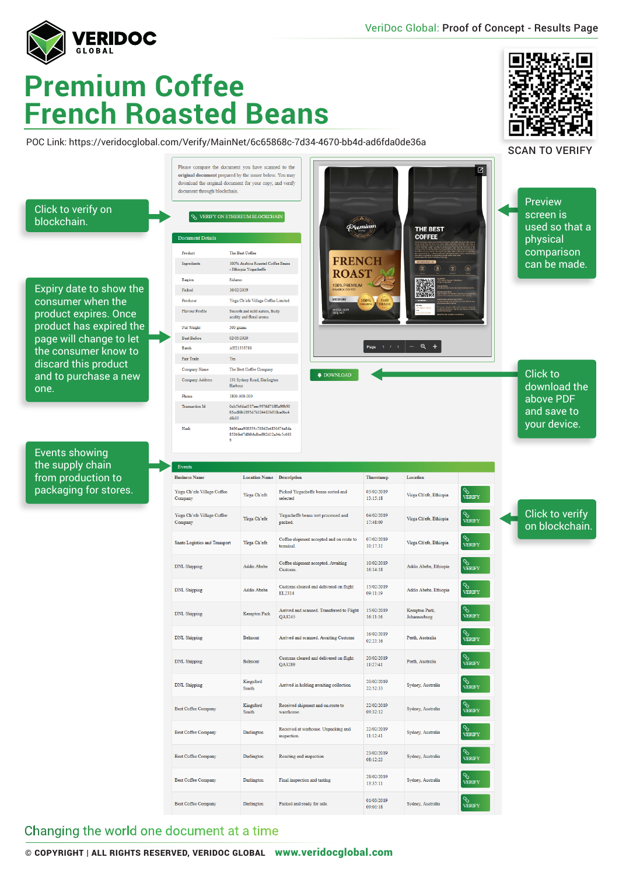VeriDoc Global: Proof of Concept - Results Page

▬

œ

 $\blacksquare$ 



## **Premium Coffee French Roasted Beans**

POC Link: https://veridocglobal.com/Verify/MainNet/6c65868c-7d34-4670-bb4d-ad6fda0de36a



## Changing the world one document at a time